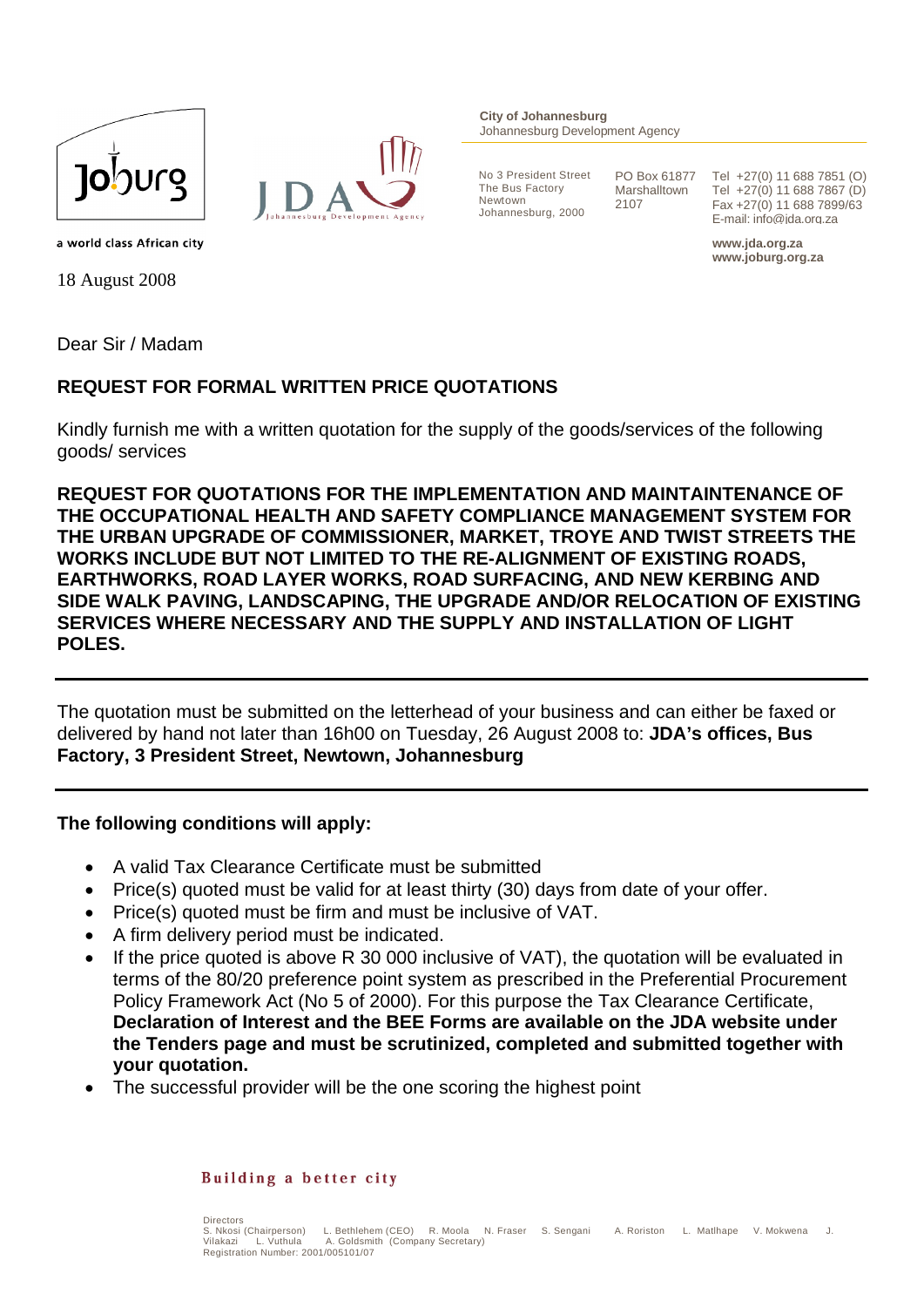



**City of Johannesburg** Johannesburg Development Agency

No 3 President Street The Bus Factory Newtown Johannesburg, 2000

PO Box 61877 Marshalltown 2107

Tel +27(0) 11 688 7851 (O) Tel +27(0) 11 688 7867 (D) Fax +27(0) 11 688 7899/63 E-mail: info@jda.org.za

**www.jda.org.za www.joburg.org.za**

a world class African city

18 August 2008

Dear Sir / Madam

## **REQUEST FOR FORMAL WRITTEN PRICE QUOTATIONS**

Kindly furnish me with a written quotation for the supply of the goods/services of the following goods/ services

**REQUEST FOR QUOTATIONS FOR THE IMPLEMENTATION AND MAINTAINTENANCE OF THE OCCUPATIONAL HEALTH AND SAFETY COMPLIANCE MANAGEMENT SYSTEM FOR THE URBAN UPGRADE OF COMMISSIONER, MARKET, TROYE AND TWIST STREETS THE WORKS INCLUDE BUT NOT LIMITED TO THE RE-ALIGNMENT OF EXISTING ROADS, EARTHWORKS, ROAD LAYER WORKS, ROAD SURFACING, AND NEW KERBING AND SIDE WALK PAVING, LANDSCAPING, THE UPGRADE AND/OR RELOCATION OF EXISTING SERVICES WHERE NECESSARY AND THE SUPPLY AND INSTALLATION OF LIGHT POLES.**

The quotation must be submitted on the letterhead of your business and can either be faxed or delivered by hand not later than 16h00 on Tuesday, 26 August 2008 to: **JDA's offices, Bus Factory, 3 President Street, Newtown, Johannesburg** 

### **The following conditions will apply:**

- A valid Tax Clearance Certificate must be submitted
- Price(s) quoted must be valid for at least thirty (30) days from date of your offer.
- Price(s) quoted must be firm and must be inclusive of VAT.
- A firm delivery period must be indicated.
- If the price quoted is above R 30 000 inclusive of VAT), the quotation will be evaluated in terms of the 80/20 preference point system as prescribed in the Preferential Procurement Policy Framework Act (No 5 of 2000). For this purpose the Tax Clearance Certificate, **Declaration of Interest and the BEE Forms are available on the JDA website under the Tenders page and must be scrutinized, completed and submitted together with your quotation.**
- The successful provider will be the one scoring the highest point

#### Building a better city